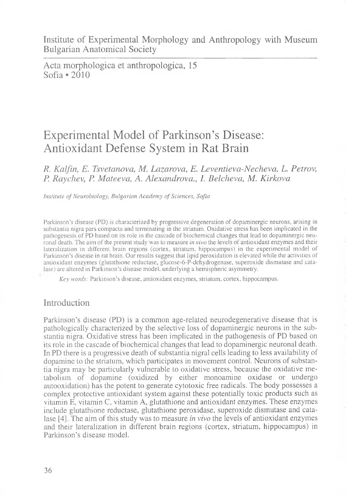Acta morphologica et anthropologica, 15 Sofia • 2010

# Experimental Model of Parkinson's Disease: Antioxidant Defense System in Rat Brain

### *R. Kalfin, E. Tsvetanova, M. Lazarova, E. Leventieva-Necheva, L. Petrov, P. Raychev, P. Mateeva, A. Alexandrova., I. Belcheva, M. Kirkova*

*Institute of Neurobiology, Bulgarian Academy of Sciences, Sofia*

Parkinson's disease (PD) is characterized by progressive degeneration of dopaminergic neurons, arising in substantia nigra pars compacta and terminating in the striatum. Oxidative stress has been implicated in the pathogenesis of PD based on its role in the cascade of biochemical changes that lead to dopaminergic neuronal death. The aim of the present study was to measure *in vivo* the levels of antioxidant enzymes and their lateralization in different brain regions (cortex, striatum, hippocampus) in the experimental model of Parkinson's disease in rat brain. Our results suggest that lipid peroxidation is elevated while the activities of antioxidant enzymes (glutathione reductase, glucose-6-P-dehydrogenase, superoxide dismutase and catalase) are altered in Parkinson's disease model, underlying a hemispheric asymmetry.

*Key words:* Parkinson's disease, antioxidant enzymes, striatum, cortex, hippocampus.

## Introduction

Parkinson's disease (PD) is a common age-related neurodegenerative disease that is pathologically characterized by the selective loss of dopaminergic neurons in the substantia nigra. Oxidative stress has been implicated in the pathogenesis of PD based on its role in the cascade of biochemical changes that lead to dopaminergic neuronal death. In PD there is a progressive death of substantia nigral cells leading to less availability of dopamine to the striatum, which participates in movement control. Neurons of substantia nigra may be particularly vulnerable to oxidative stress, because the oxidative metabolism of dopamine (oxidized by either monoamine oxidase or undergo autooxidation) has the potent to generate cytotoxic free radicals. The body possesses a complex protective antioxidant system against these potentially toxic products such as vitamin E, vitamin C, vitamin A, glutathione and antioxidant enzymes. These enzymes include glutathione reductase, glutathione peroxidase, superoxide dismutase and catalase [4]. The aim of this study was to measure *in vivo* the levels of antioxidant enzymes and their lateralization in different brain regions (cortex, striatum, hippocampus) in Parkinson's disease model.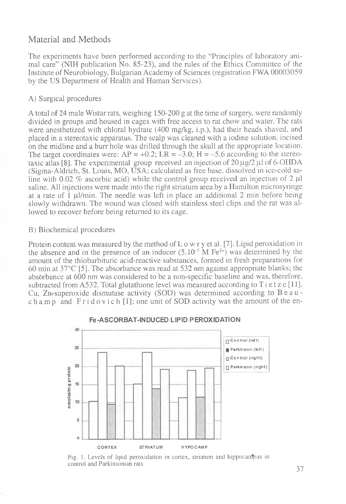# Material and Methods

The experiments have been performed according to the "Principles of laboratory animal care" (NIH publication No. 85-23), and the rules of the Ethics Committee of the Institute of Neurobiology, Bulgarian Academy of Sciences (registration FWA 00003059 by the US Department of Health and Human Services).

#### A) Surgical procedures

A total of 24 male Wistar rats, weighing 150-200 g at the time of surgery, were randomly divided in groups and housed in cages with free access to rat chow and water. The rats were anesthetized with chloral hydrate (400 mg/kg, i.p.), had their heads shaved, and placed in a stereotaxic apparatus. The scalp was cleaned with a iodine solution, incised on the midline and a burr hole was drilled through the skull at the appropriate location. The target coordinates were:  $AP = +0.2$ ;  $LR = -3.0$ ;  $H = -5.6$  according to the stereotaxic at as [8]. The experimental group received an injection of  $20 \mu g / 2 \mu$  of 6-OHDA (Sigma-Aldrich, St. Louis, MO, USA; calculated as free base, dissolved in ice-cold saline with 0.02 % ascorbic acid) while the control group received an injection of 2  $\mu$ I saline. All injections were made into the right striatum area by a Hamilton microsyringe at a rate of  $1 \mu$ l/min. The needle was left in place an additional  $2 \text{ min}$  before being slowly withdrawn. The wound was closed with stainless steel clips and the rat was allowed to recover before being returned to its cage.

#### B) Biochemical procedures

Protein content was measured by the method of  $L \circ w$  r y et al. [7]. Lipid peroxidation in the absence and in the presence of an inducer  $(5.10^{-5}$  M Fe<sup>2+</sup>) was determined by the amount of the thiobarbituric acid-reactive substances, formed in fresh preparations for 60 min at 37°C [5]. The absorbance was read at 532 nm against appropriate blanks; the absbrbance at 600 nm was considered to be a non-specific baseline and was, therefore, subtracted from A532. Total glutathione level was measured according to  $T$ i e t z e [11]. Cu, Zn-superoxide dismutase activity (SOD) was determined according to Beauch a m p and  $\text{F}$ r i d o v i c h [1]; one unit of SOD activity was the amount of the en-



#### **Fe-ASCORBAT-INDUCED LIPID PEROXIDATION**

Fig. 1. Levels of lipid peroxidation in cortex, striatum and hippocanipus in control and Parkinsonian rats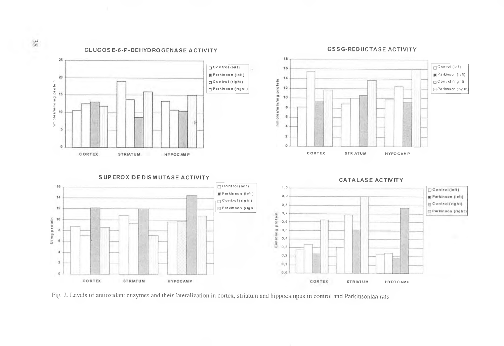

Fig. 2. Levels of antioxidant enzymes and their lateralization in cortex, striatum and hippocampus in control and Parkinsonian rats